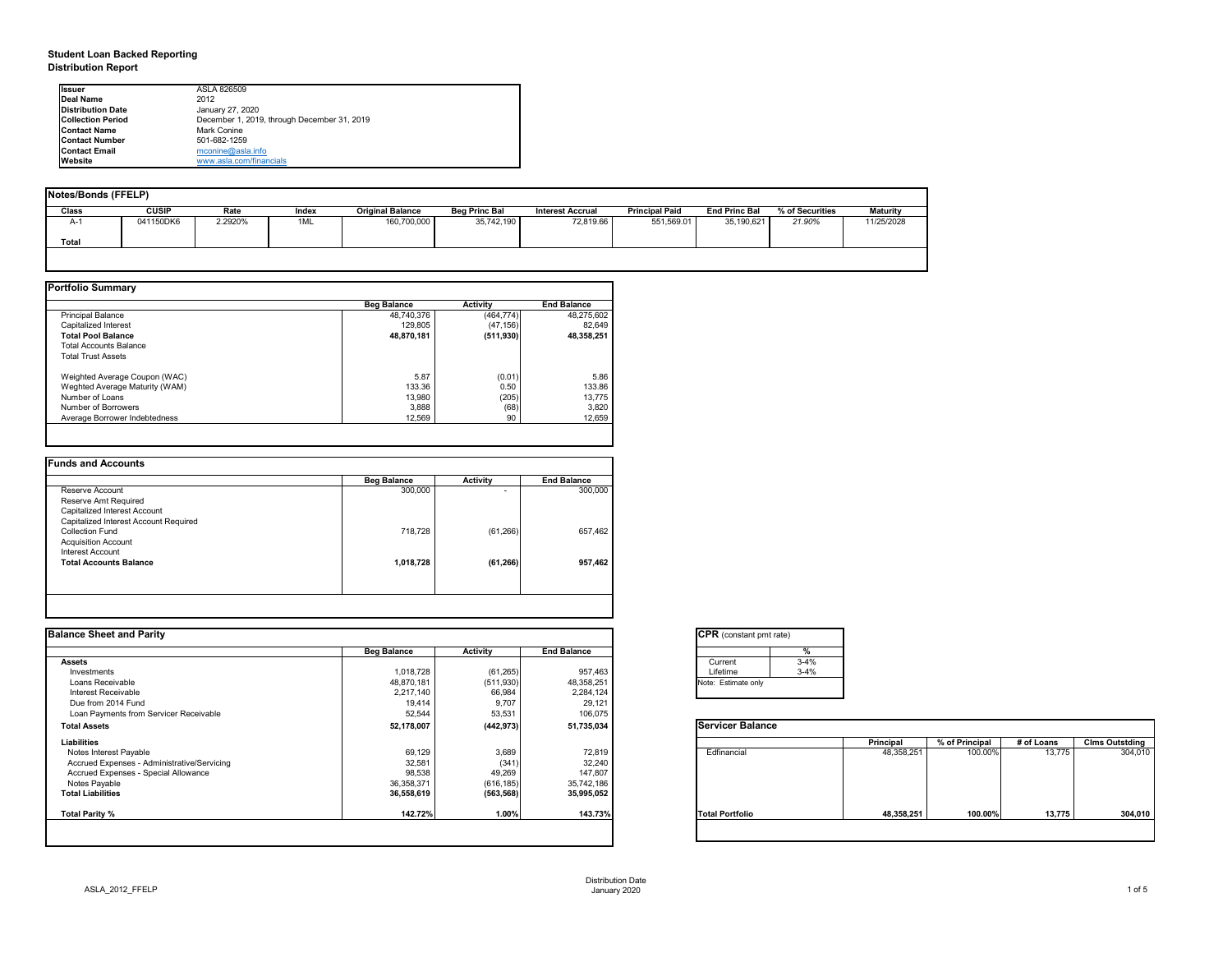# **Student Loan Backed Reporting Distribution Report**

| Notes/Bonds (FFELP) |              |         |       |                         |                      |                         |                       |                      |                 |            |
|---------------------|--------------|---------|-------|-------------------------|----------------------|-------------------------|-----------------------|----------------------|-----------------|------------|
| <b>Class</b>        | <b>CUSIP</b> | Rate    | Index | <b>Original Balance</b> | <b>Beg Princ Bal</b> | <b>Interest Accrual</b> | <b>Principal Paid</b> | <b>End Princ Bal</b> | % of Securities | Maturity   |
| A-1                 | 041150DK6    | 2.2920% | 1ML   | 160,700,000             | 35,742,190           | 72,819.66               | 551,569.01            | 35,190,621           | 21.90%          | 11/25/2028 |
| <b>Total</b>        |              |         |       |                         |                      |                         |                       |                      |                 |            |
|                     |              |         |       |                         |                      |                         |                       |                      |                 |            |

|                                | <b>Beg Balance</b> | <b>Activity</b> | <b>End Balance</b> |
|--------------------------------|--------------------|-----------------|--------------------|
| <b>Principal Balance</b>       | 48,740,376         | (464, 774)      | 48,275,602         |
| Capitalized Interest           | 129,805            | (47, 156)       | 82,649             |
| <b>Total Pool Balance</b>      | 48,870,181         | (511, 930)      | 48,358,251         |
| <b>Total Accounts Balance</b>  |                    |                 |                    |
| <b>Total Trust Assets</b>      |                    |                 |                    |
| Weighted Average Coupon (WAC)  | 5.87               | (0.01)          | 5.86               |
| Weghted Average Maturity (WAM) | 133.36             | 0.50            | 133.86             |
| Number of Loans                | 13,980             | (205)           | 13,775             |
| Number of Borrowers            | 3,888              | (68)            | 3,820              |
| Average Borrower Indebtedness  | 12,569             | 90              | 12,659             |

|           | <b>Activity</b>          | <b>End Balance</b> |
|-----------|--------------------------|--------------------|
| 300,000   | $\overline{\phantom{0}}$ | 300,000            |
|           |                          |                    |
|           |                          |                    |
|           |                          |                    |
| 718,728   | (61, 266)                | 657,462            |
|           |                          |                    |
|           |                          |                    |
| 1,018,728 | (61, 266)                | 957,462            |
|           |                          |                    |
|           |                          |                    |

| <b>I</b> lssuer          | ASLA 826509                                 |
|--------------------------|---------------------------------------------|
| <b>IDeal Name</b>        | 2012                                        |
| Distribution Date        | January 27, 2020                            |
| <b>Collection Period</b> | December 1, 2019, through December 31, 2019 |
| <b>Contact Name</b>      | <b>Mark Conine</b>                          |
| <b>IContact Number</b>   | 501-682-1259                                |
| <b>Contact Email</b>     | mconine@asla.info                           |
| <b>IWebsite</b>          | www.asla.com/financials                     |

|                    |                 |                    | <b>CPR</b> (constant pmt rate) |                  |                |            |                       |
|--------------------|-----------------|--------------------|--------------------------------|------------------|----------------|------------|-----------------------|
| <b>Beg Balance</b> | <b>Activity</b> | <b>End Balance</b> | %                              |                  |                |            |                       |
|                    |                 |                    | $3 - 4%$<br>Current            |                  |                |            |                       |
| 1,018,728          | (61, 265)       | 957,463            | $3 - 4%$<br>Lifetime           |                  |                |            |                       |
| 48,870,181         | (511, 930)      | 48,358,251         | Note: Estimate only            |                  |                |            |                       |
| 2,217,140          | 66,984          | 2,284,124          |                                |                  |                |            |                       |
|                    |                 |                    |                                |                  |                |            |                       |
| 52,544             | 53,531          | 106,075            |                                |                  |                |            |                       |
| 52,178,007         | (442, 973)      | 51,735,034         | <b>Servicer Balance</b>        |                  |                |            |                       |
|                    |                 |                    |                                | <b>Principal</b> | % of Principal | # of Loans | <b>Clms Outstding</b> |
| 69,129             | 3,689           | 72,819             | Edfinancial                    | 48,358,251       | 100.00%        | 13,775     | 304,010               |
| 32,581             | (341)           | 32,240             |                                |                  |                |            |                       |
| 98,538             | 49,269          | 147,807            |                                |                  |                |            |                       |
| 36,358,371         | (616, 185)      | 35,742,186         |                                |                  |                |            |                       |
| 36,558,619         | (563, 568)      | 35,995,052         |                                |                  |                |            |                       |
| 142.72%            | 1.00%           | 143.73%            | <b>Total Portfolio</b>         | 48,358,251       | 100.00%        | 13,775     | 304,010               |
|                    | 19,414          | 9,707              | 29,121                         |                  |                |            |                       |

| tant pmt rate) |          |
|----------------|----------|
|                | $\%$     |
|                | $3 - 4%$ |
|                | $3-4%$   |
| te only        |          |
|                |          |

|      | <b>Principal</b> | % of Principal | # of Loans | <b>Clms Outstding</b> |
|------|------------------|----------------|------------|-----------------------|
| al   | 48,358,251       | 100.00%        | 13,775     | 304,010               |
| oilc | 48,358,251       | 100.00%        | 13,775     | 304,010               |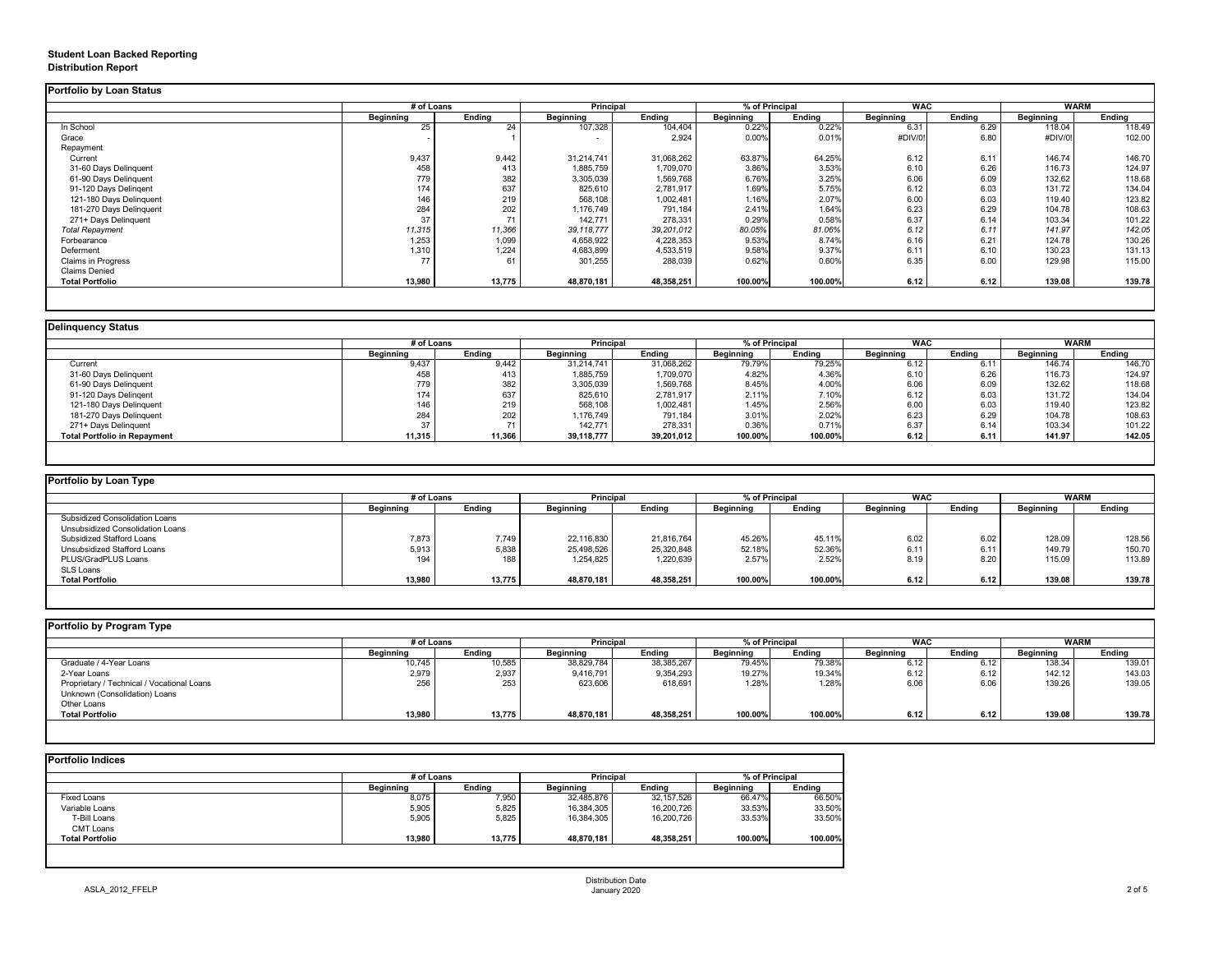## **Student Loan Backed Reporting Distribution Report**

### **Delinquency Status**

|                           | # of Loans       |               | Principal        |               | % of Principal   |               | <b>WAC</b>       |               | <b>WARM</b>      |               |
|---------------------------|------------------|---------------|------------------|---------------|------------------|---------------|------------------|---------------|------------------|---------------|
|                           | <b>Beginning</b> | <b>Ending</b> | <b>Beginning</b> | <b>Ending</b> | <b>Beginning</b> | <b>Ending</b> | <b>Beginning</b> | <b>Ending</b> | <b>Beginning</b> | <b>Ending</b> |
| In School                 | 25               | 24            | 107,328          | 104,404       | 0.22%            | 0.22%         | 6.31             | 6.29          | 118.04           | 118.49        |
| Grace                     |                  |               | $\sim$           | 2,924         | 0.00%            | 0.01%         | #DIV/0!          | 6.80          | #DIV/0!          | 102.00        |
| Repayment                 |                  |               |                  |               |                  |               |                  |               |                  |               |
| Current                   | 9,437            | 9,442         | 31,214,741       | 31,068,262    | 63.87%           | 64.25%        | 6.12             | 6.11          | 146.74           | 146.70        |
| 31-60 Days Delinquent     | 458              | 413           | 1,885,759        | 1,709,070     | 3.86%            | 3.53%         | 6.10             | 6.26          | 116.73           | 124.97        |
| 61-90 Days Delinquent     | 779              | 382           | 3,305,039        | 1,569,768     | 6.76%            | 3.25%         | 6.06             | 6.09          | 132.62           | 118.68        |
| 91-120 Days Delingent     | 174              | 637           | 825,610          | 2,781,917     | 1.69%            | 5.75%         | 6.12             | 6.03          | 131.72           | 134.04        |
| 121-180 Days Delinquent   | 146              | 219           | 568,108          | 1,002,481     | 1.16%            | 2.07%         | 6.00             | 6.03          | 119.40           | 123.82        |
| 181-270 Days Delinquent   | 284              | 202           | 1,176,749        | 791,184       | 2.41%            | 1.64%         | 6.23             | 6.29          | 104.78           | 108.63        |
| 271+ Days Delinquent      | 37               | 71            | 142,771          | 278,331       | 0.29%            | 0.58%         | 6.37             | 6.14          | 103.34           | 101.22        |
| <b>Total Repayment</b>    | 11,315           | 11,366        | 39, 118, 777     | 39,201,012    | 80.05%           | 81.06%        | 6.12             | 6.11          | 141.97           | 142.05        |
| Forbearance               | 1,253            | 1,099         | 4,658,922        | 4,228,353     | 9.53%            | 8.74%         | 6.16             | 6.21          | 124.78           | 130.26        |
| Deferment                 | 1,310            | 1,224         | 4,683,899        | 4,533,519     | 9.58%            | 9.37%         | 6.11             | 6.10          | 130.23           | 131.13        |
| <b>Claims in Progress</b> | 77               | 61            | 301,255          | 288,039       | 0.62%            | 0.60%         | 6.35             | 6.00          | 129.98           | 115.00        |
| <b>Claims Denied</b>      |                  |               |                  |               |                  |               |                  |               |                  |               |
| <b>Total Portfolio</b>    | 13,980           | 13,775        | 48,870,181       | 48,358,251    | 100.00%          | 100.00%       | 6.12             | 6.12          | 139.08           | 139.78        |

|                                     |                  | # of Loans    |                  | <b>Principal</b> | % of Principal   |               | <b>WAC</b>       |        | <b>WARM</b>      |        |
|-------------------------------------|------------------|---------------|------------------|------------------|------------------|---------------|------------------|--------|------------------|--------|
|                                     | <b>Beginning</b> | <b>Ending</b> | <b>Beginning</b> | <b>Ending</b>    | <b>Beginning</b> | <b>Ending</b> | <b>Beginning</b> | Ending | <b>Beginning</b> | Ending |
| Current                             | 9,437            | 9,442         | 31,214,741       | 31,068,262       | 79.79%           | 79.25%        | 6.12             | 6.11   | 146.74           | 146.70 |
| 31-60 Days Delinquent               | 458              | 413           | 1,885,759        | 1,709,070        | 4.82%            | 4.36%         | 6.10             | 6.26   | 116.73           | 124.97 |
| 61-90 Days Delinquent               | 779              | 382           | 3,305,039        | 1,569,768        | 8.45%            | 4.00%         | 6.06             | 6.09   | 132.62           | 118.68 |
| 91-120 Days Delinqent               | 174              | 637           | 825,610          | 2,781,917        | 2.11%            | 7.10%         | 6.12             | 6.03   | 131.72           | 134.04 |
| 121-180 Days Delinquent             | 146              | 219           | 568,108          | 1,002,481        | 1.45%            | 2.56%         | 6.00             | 6.03   | 119.40           | 123.82 |
| 181-270 Days Delinquent             | 284              | 202           | 1,176,749        | 791,184          | 3.01%            | 2.02%         | 6.23             | 6.29   | 104.78           | 108.63 |
| 271+ Days Delinquent                |                  |               | 142,771          | 278,331          | 0.36%            | 0.71%         | 6.37             | 6.14   | 103.34           | 101.22 |
| <b>Total Portfolio in Repayment</b> | 11,315           | 11,366        | 39,118,777       | 39,201,012       | 100.00%          | 100.00%       | 6.12             | 6.11   | 141.97           | 142.05 |

| Portfolio by Loan Type                |                  |               |                  |               |                  |               |                  |               |                  |        |
|---------------------------------------|------------------|---------------|------------------|---------------|------------------|---------------|------------------|---------------|------------------|--------|
|                                       | # of Loans       |               | <b>Principal</b> |               | % of Principal   |               | <b>WAC</b>       |               | <b>WARM</b>      |        |
|                                       | <b>Beginning</b> | <b>Ending</b> | <b>Beginning</b> | <b>Ending</b> | <b>Beginning</b> | <b>Ending</b> | <b>Beginning</b> | <b>Ending</b> | <b>Beginning</b> | Ending |
| <b>Subsidized Consolidation Loans</b> |                  |               |                  |               |                  |               |                  |               |                  |        |
| Unsubsidized Consolidation Loans      |                  |               |                  |               |                  |               |                  |               |                  |        |
| <b>Subsidized Stafford Loans</b>      | 7,873            | 7,749         | 22,116,830       | 21,816,764    | 45.26%           | 45.11%        | 6.02             | 6.02          | 128.09           | 128.56 |
| Unsubsidized Stafford Loans           | 5,913            | 5,838         | 25,498,526       | 25,320,848    | 52.18%           | 52.36%        | 6.11             | 6.11          | 149.79           | 150.70 |
| PLUS/GradPLUS Loans                   | 194              | 188           | 1,254,825        | 1,220,639     | 2.57%            | 2.52%         | 8.19             | 8.20          | 115.09           | 113.89 |
| <b>SLS Loans</b>                      |                  |               |                  |               |                  |               |                  |               |                  |        |
| <b>Total Portfolio</b>                | 13,980           | 13,775        | 48,870,181       | 48,358,251    | 100.00%          | 100.00%       | 6.12             | 6.12          | 139.08           | 139.78 |

|                                            |                  | # of Loans    |                  | <b>Principal</b> | % of Principal   |               | <b>WAC</b>       |               | <b>WARM</b>      |               |
|--------------------------------------------|------------------|---------------|------------------|------------------|------------------|---------------|------------------|---------------|------------------|---------------|
|                                            | <b>Beginning</b> | <b>Ending</b> | <b>Beginning</b> | <b>Ending</b>    | <b>Beginning</b> | <b>Ending</b> | <b>Beginning</b> | <b>Ending</b> | <b>Beginning</b> | <b>Ending</b> |
| Graduate / 4-Year Loans                    | 10,745           | 10,585        | 38,829,784       | 38,385,267       | 79.45%           | 79.38%        | 6.12             | 6.12          | 138.34           | 139.01        |
| 2-Year Loans                               | 2,979            | 2,937         | 9,416,791        | 9,354,293        | 19.27%           | 19.34%        | 6.12             | 6.12          | 142.12           | 143.03        |
| Proprietary / Technical / Vocational Loans | 256              | 253           | 623,606          | 618,691          | 1.28%            | 1.28%         | 6.06             | 6.06          | 139.26           | 139.05        |
| Unknown (Consolidation) Loans              |                  |               |                  |                  |                  |               |                  |               |                  |               |
| Other Loans                                |                  |               |                  |                  |                  |               |                  |               |                  |               |
| <b>Total Portfolio</b>                     | 13,980           | 13,775        | 48,870,181       | 48,358,251       | 100.00%          | 100.00%       | 6.12             | 6.12          | 139.08           | 139.78        |

|                        |                  | # of Loans    |                  |               | % of Principal   |               |
|------------------------|------------------|---------------|------------------|---------------|------------------|---------------|
|                        | <b>Beginning</b> | <b>Ending</b> | <b>Beginning</b> | <b>Ending</b> | <b>Beginning</b> | <b>Ending</b> |
| <b>Fixed Loans</b>     | 8,075            | 7,950         | 32,485,876       | 32,157,526    | 66.47%           | 66.50%        |
| Variable Loans         | 5,905            | 5,825         | 16,384,305       | 16,200,726    | 33.53%           | 33.50%        |
| T-Bill Loans           | 5,905            | 5,825         | 16,384,305       | 16,200,726    | 33.53%           | 33.50%        |
| <b>CMT Loans</b>       |                  |               |                  |               |                  |               |
| <b>Total Portfolio</b> | 13,980           | 13,775        | 48,870,181       | 48,358,251    | 100.00%          | 100.00%       |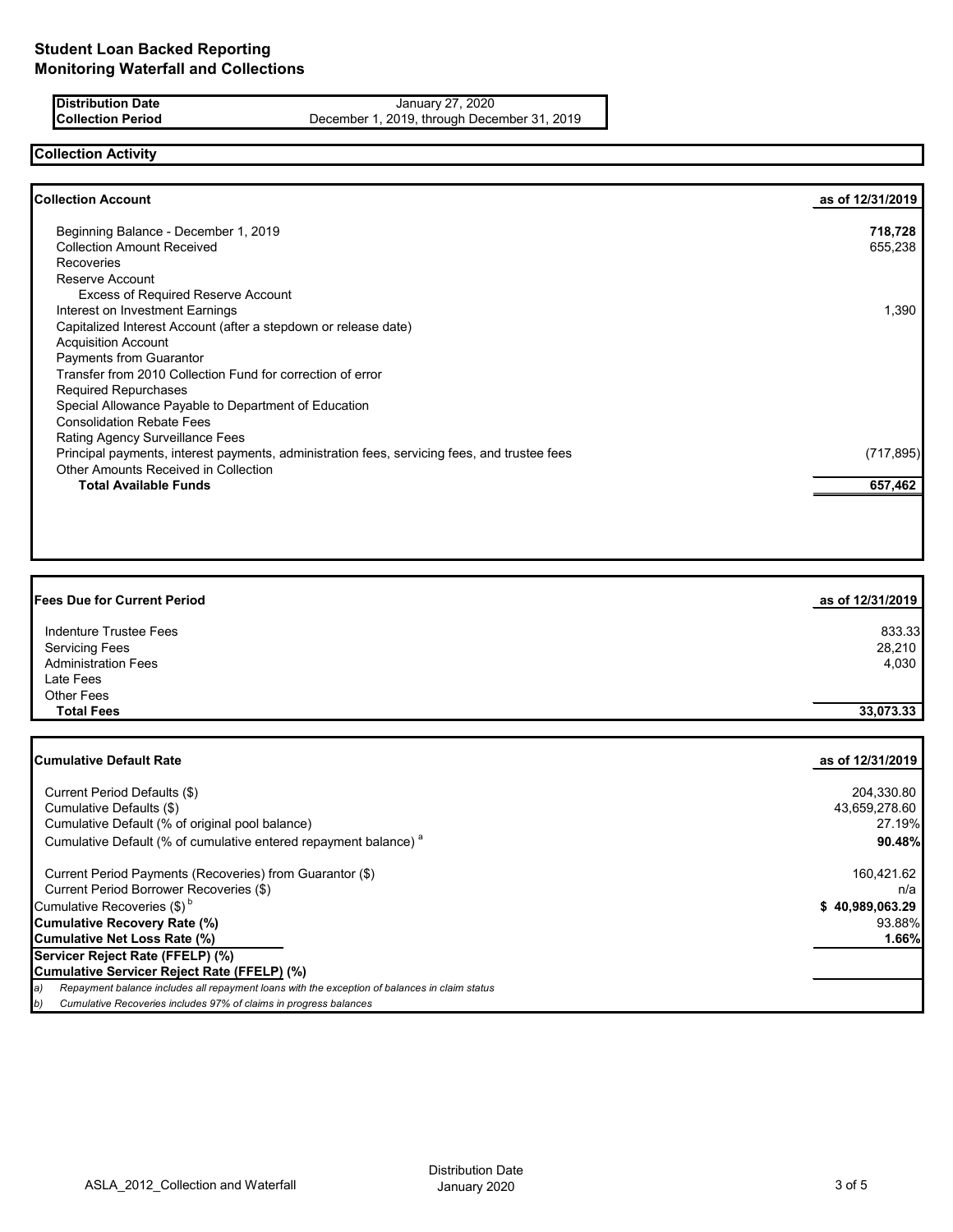**Distribution Date** January 27, 2020 **Collection Period** December 1, 2019, through December 31, 2019

## **Collection Activity**

| as of 12/31/2019 |
|------------------|
| 718,728          |
| 655,238          |
|                  |
|                  |
|                  |
| 1,390            |
|                  |
|                  |
|                  |
|                  |
|                  |
|                  |
|                  |
|                  |
| (717, 895)       |
|                  |
| 657,462          |
|                  |

| <b>Fees Due for Current Period</b> | as of 12/31/2019 |
|------------------------------------|------------------|
| Indenture Trustee Fees             | 833.33           |
| <b>Servicing Fees</b>              | 28,210           |
| <b>Administration Fees</b>         | 4,030            |
| Late Fees                          |                  |
| <b>Other Fees</b>                  |                  |
| <b>Total Fees</b>                  | 33,073.33        |

| <b>ICumulative Default Rate</b>                                                                      | as of 12/31/2019 |
|------------------------------------------------------------------------------------------------------|------------------|
|                                                                                                      |                  |
| Current Period Defaults (\$)                                                                         | 204,330.80       |
| Cumulative Defaults (\$)                                                                             | 43,659,278.60    |
| Cumulative Default (% of original pool balance)                                                      | 27.19%           |
| Cumulative Default (% of cumulative entered repayment balance) <sup>a</sup>                          | 90.48%           |
| Current Period Payments (Recoveries) from Guarantor (\$)                                             | 160,421.62       |
| Current Period Borrower Recoveries (\$)                                                              | n/a              |
| Cumulative Recoveries $(\$)^b$                                                                       | \$40,989,063.29  |
| Cumulative Recovery Rate (%)                                                                         | 93.88%           |
| Cumulative Net Loss Rate (%)                                                                         | 1.66%            |
| Servicer Reject Rate (FFELP) (%)                                                                     |                  |
| Cumulative Servicer Reject Rate (FFELP) (%)                                                          |                  |
| Repayment balance includes all repayment loans with the exception of balances in claim status<br>la) |                  |
| Cumulative Recoveries includes 97% of claims in progress balances<br>b)                              |                  |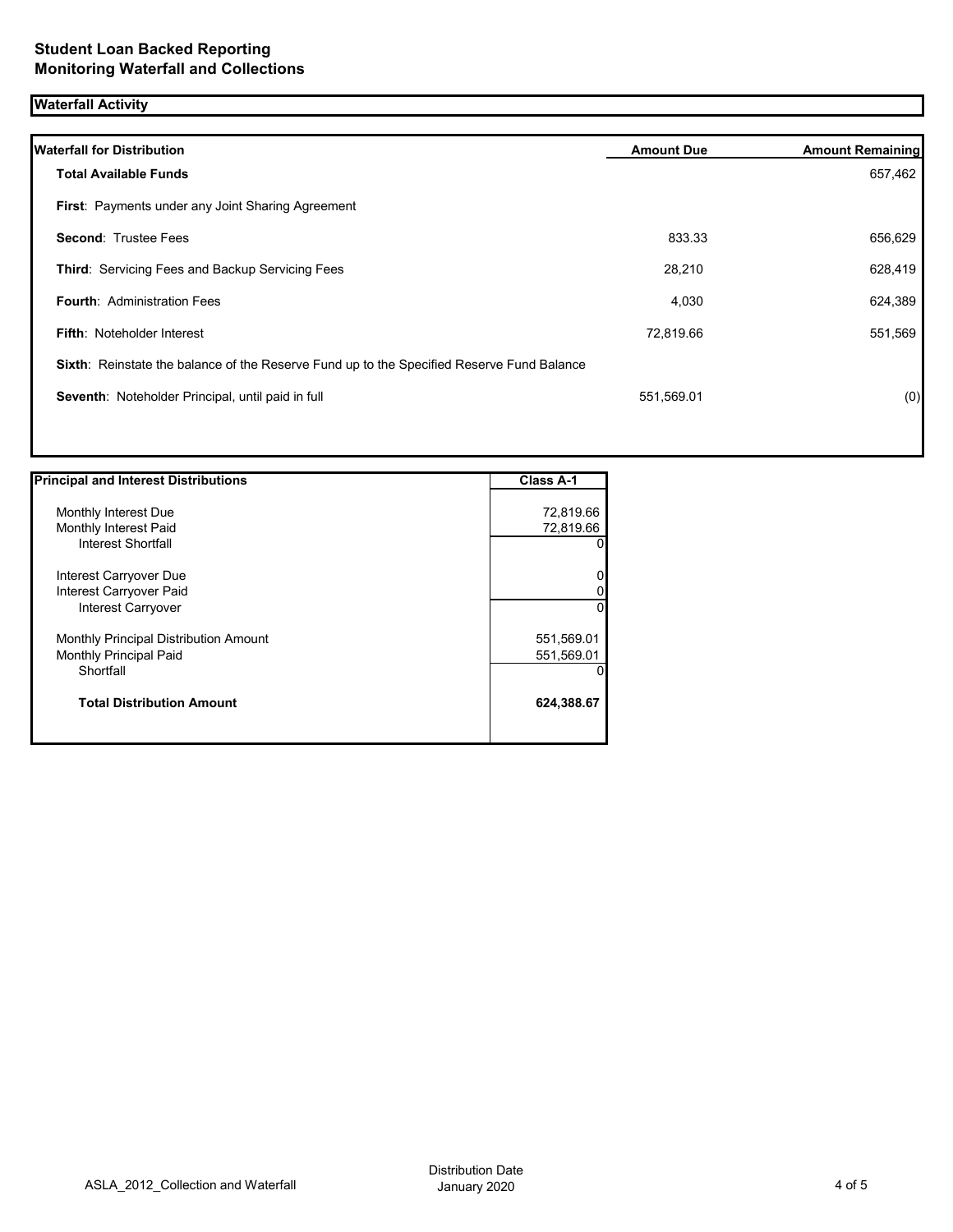# **Waterfall Activity**

| <b>Waterfall for Distribution</b>                                                         | <b>Amount Due</b> | <b>Amount Remaining</b> |
|-------------------------------------------------------------------------------------------|-------------------|-------------------------|
| <b>Total Available Funds</b>                                                              |                   | 657,462                 |
| <b>First:</b> Payments under any Joint Sharing Agreement                                  |                   |                         |
| <b>Second: Trustee Fees</b>                                                               | 833.33            | 656,629                 |
| Third: Servicing Fees and Backup Servicing Fees                                           | 28,210            | 628,419                 |
| <b>Fourth: Administration Fees</b>                                                        | 4,030             | 624,389                 |
| <b>Fifth: Noteholder Interest</b>                                                         | 72,819.66         | 551,569                 |
| Sixth: Reinstate the balance of the Reserve Fund up to the Specified Reserve Fund Balance |                   |                         |
| Seventh: Noteholder Principal, until paid in full                                         | 551,569.01        | (0)                     |
|                                                                                           |                   |                         |

| <b>Principal and Interest Distributions</b>  | <b>Class A-1</b> |  |
|----------------------------------------------|------------------|--|
|                                              |                  |  |
| Monthly Interest Due                         | 72,819.66        |  |
| Monthly Interest Paid                        | 72,819.66        |  |
| Interest Shortfall                           | O                |  |
| Interest Carryover Due                       | 0                |  |
| Interest Carryover Paid                      | 0                |  |
| <b>Interest Carryover</b>                    | 0                |  |
| <b>Monthly Principal Distribution Amount</b> | 551,569.01       |  |
| <b>Monthly Principal Paid</b>                | 551,569.01       |  |
| Shortfall                                    | $\mathbf{0}$     |  |
| <b>Total Distribution Amount</b>             | 624,388.67       |  |
|                                              |                  |  |